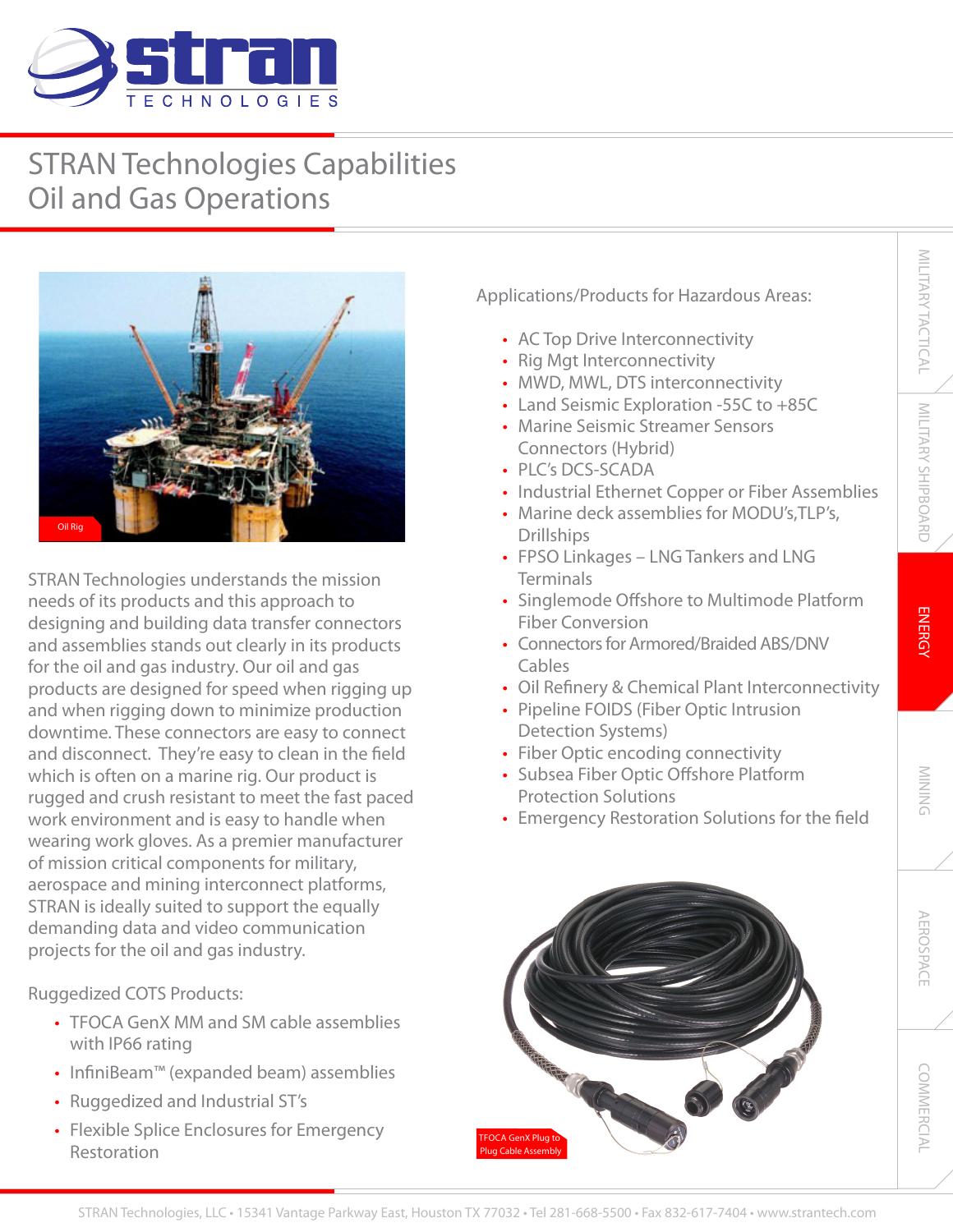

## STRAN Technologies Capabilities Oil and Gas Operations



STRAN Technologies understands the mission needs of its products and this approach to designing and building data transfer connectors and assemblies stands out clearly in its products for the oil and gas industry. Our oil and gas products are designed for speed when rigging up and when rigging down to minimize production downtime. These connectors are easy to connect and disconnect. They're easy to clean in the field which is often on a marine rig. Our product is rugged and crush resistant to meet the fast paced work environment and is easy to handle when wearing work gloves. As a premier manufacturer of mission critical components for military, aerospace and mining interconnect platforms, STRAN is ideally suited to support the equally demanding data and video communication projects for the oil and gas industry.

Ruggedized COTS Products:

- TFOCA GenX MM and SM cable assemblies with IP66 rating
- InfiniBeam™ (expanded beam) assemblies
- Ruggedized and Industrial ST's
- Flexible Splice Enclosures for Emergency Restoration

Applications/Products for Hazardous Areas:

- AC Top Drive Interconnectivity
- Rig Mgt Interconnectivity
- MWD, MWL, DTS interconnectivity
- Land Seismic Exploration -55C to +85C
- Marine Seismic Streamer Sensors Connectors (Hybrid)
- PLC's DCS-SCADA
- Industrial Ethernet Copper or Fiber Assemblies
- Marine deck assemblies for MODU's,TLP's, Drillships
- FPSO Linkages LNG Tankers and LNG **Terminals**
- Singlemode Offshore to Multimode Platform Fiber Conversion
- Connectors for Armored/Braided ABS/DNV Cables
- Oil Refinery & Chemical Plant Interconnectivity
- Pipeline FOIDS (Fiber Optic Intrusion Detection Systems)
- Fiber Optic encoding connectivity
- Subsea Fiber Optic Offshore Platform Protection Solutions
- Emergency Restoration Solutions for the field



MILITARY TACTICAL

MILITARY TACTICAL

**COMMERCIAL**